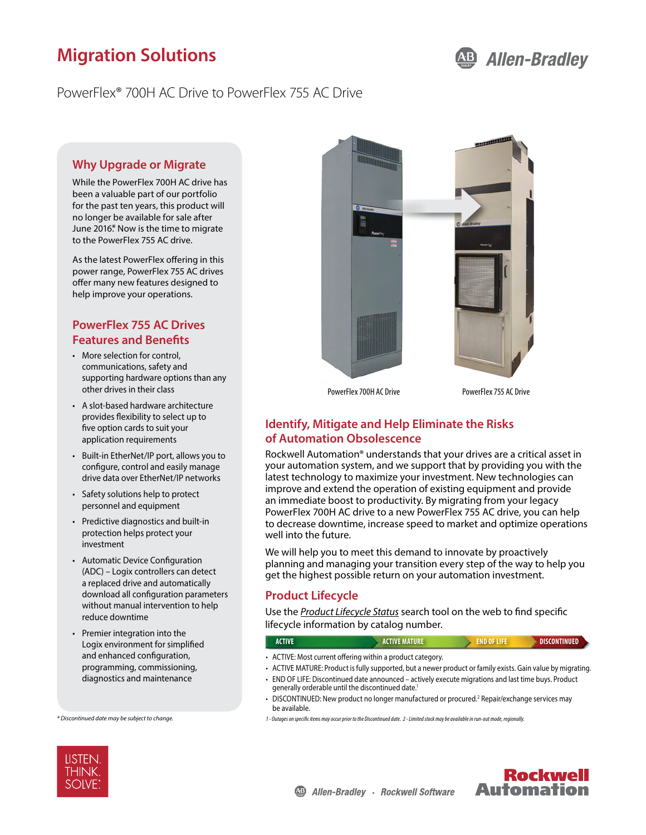# **Migration Solutions**

## PowerFlex® 700H AC Drive to PowerFlex 755 AC Drive

### **Why Upgrade or Migrate**

While the PowerFlex 700H AC drive has been a valuable part of our portfolio for the past ten years, this product will no longer be available for sale after June 2016.\* Now is the time to migrate to the PowerFlex 755 AC drive.

As the latest PowerFlex offering in this power range, PowerFlex 755 AC drives offer many new features designed to help improve your operations.

## **PowerFlex 755 AC Drives Features and Benefits**

- More selection for control, communications, safety and supporting hardware options than any other drives in their class
- A slot-based hardware architecture provides flexibility to select up to five option cards to suit your application requirements
- Built-in EtherNet/IP port, allows you to configure, control and easily manage drive data over EtherNet/IP networks
- Safety solutions help to protect personnel and equipment
- Predictive diagnostics and built-in protection helps protect your investment
- Automatic Device Configuration (ADC) – Logix controllers can detect a replaced drive and automatically download all configuration parameters without manual intervention to help reduce downtime
- Premier integration into the Logix environment for simplified and enhanced configuration, programming, commissioning, diagnostics and maintenance

*\* Discontinued date may be subject to change.*



PowerFlex 700H AC Drive PowerFlex 755 AC Drive

## **Identify, Mitigate and Help Eliminate the Risks of Automation Obsolescence**

Rockwell Automation® understands that your drives are a critical asset in your automation system, and we support that by providing you with the latest technology to maximize your investment. New technologies can improve and extend the operation of existing equipment and provide an immediate boost to productivity. By migrating from your legacy PowerFlex 700H AC drive to a new PowerFlex 755 AC drive, you can help to decrease downtime, increase speed to market and optimize operations well into the future.

We will help you to meet this demand to innovate by proactively planning and managing your transition every step of the way to help you get the highest possible return on your automation investment.

### **Product Lifecycle**

Use the *[Product Lifecycle Status](http://www.rockwellautomation.com/global/solutions-services/capabilities/migration-solutions/product-search/overview.page)* search tool on the web to find specific lifecycle information by catalog number.

### **ACTIVE ACTIVE MATURE END OF LIFE DISCONTINUED**

- ACTIVE: Most current offering within a product category.
- ACTIVE MATURE: Product is fully supported, but a newer product or family exists. Gain value by migrating. • END OF LIFE: Discontinued date announced – actively execute migrations and last time buys. Product
- generally orderable until the discontinued date.1 • DISCONTINUED: New product no longer manufactured or procured.<sup>2</sup> Repair/exchange services may
- be available.
- *1 Outages on specific items may occur prior to the Discontinued date. 2 Limited stock may be available in run-out mode, regionally.*



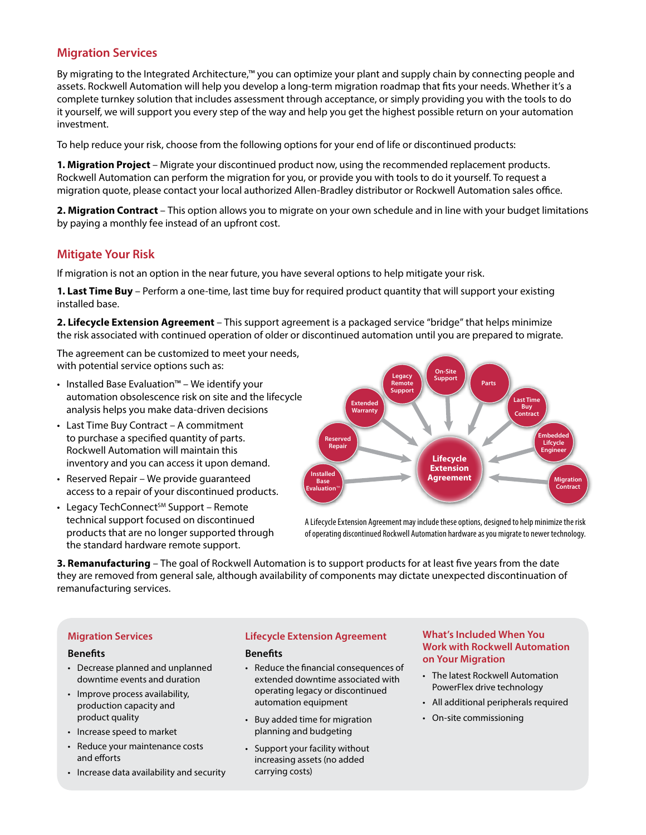## **Migration Services**

By migrating to the Integrated Architecture,™ you can optimize your plant and supply chain by connecting people and assets. Rockwell Automation will help you develop a long-term migration roadmap that fits your needs. Whether it's a complete turnkey solution that includes assessment through acceptance, or simply providing you with the tools to do it yourself, we will support you every step of the way and help you get the highest possible return on your automation investment.

To help reduce your risk, choose from the following options for your end of life or discontinued products:

**1. Migration Project** – Migrate your discontinued product now, using the recommended replacement products. Rockwell Automation can perform the migration for you, or provide you with tools to do it yourself. To request a migration quote, please contact your local authorized Allen-Bradley distributor or Rockwell Automation sales office.

**2. Migration Contract** – This option allows you to migrate on your own schedule and in line with your budget limitations by paying a monthly fee instead of an upfront cost.

## **Mitigate Your Risk**

If migration is not an option in the near future, you have several options to help mitigate your risk.

**1. Last Time Buy** – Perform a one-time, last time buy for required product quantity that will support your existing installed base.

**2. Lifecycle Extension Agreement** – This support agreement is a packaged service "bridge" that helps minimize the risk associated with continued operation of older or discontinued automation until you are prepared to migrate.

The agreement can be customized to meet your needs, with potential service options such as:

- Installed Base Evaluation™ We identify your automation obsolescence risk on site and the lifecycle analysis helps you make data-driven decisions
- Last Time Buy Contract A commitment to purchase a specified quantity of parts. Rockwell Automation will maintain this inventory and you can access it upon demand.
- Reserved Repair We provide guaranteed access to a repair of your discontinued products.
- $\cdot$  Legacy TechConnect<sup>SM</sup> Support Remote technical support focused on discontinued products that are no longer supported through the standard hardware remote support.



A Lifecycle Extension Agreement may include these options, designed to help minimize the risk of operating discontinued Rockwell Automation hardware as you migrate to newer technology.

**3. Remanufacturing** – The goal of Rockwell Automation is to support products for at least five years from the date they are removed from general sale, although availability of components may dictate unexpected discontinuation of remanufacturing services.

#### **Migration Services**

#### **Benefits**

- Decrease planned and unplanned downtime events and duration
- Improve process availability, production capacity and product quality
- Increase speed to market
- Reduce your maintenance costs and efforts
- Increase data availability and security

#### **Lifecycle Extension Agreement**

#### **Benefits**

- Reduce the financial consequences of extended downtime associated with operating legacy or discontinued automation equipment
- Buy added time for migration planning and budgeting
- Support your facility without increasing assets (no added carrying costs)

#### **What's Included When You Work with Rockwell Automation on Your Migration**

- The latest Rockwell Automation PowerFlex drive technology
- All additional peripherals required
- On-site commissioning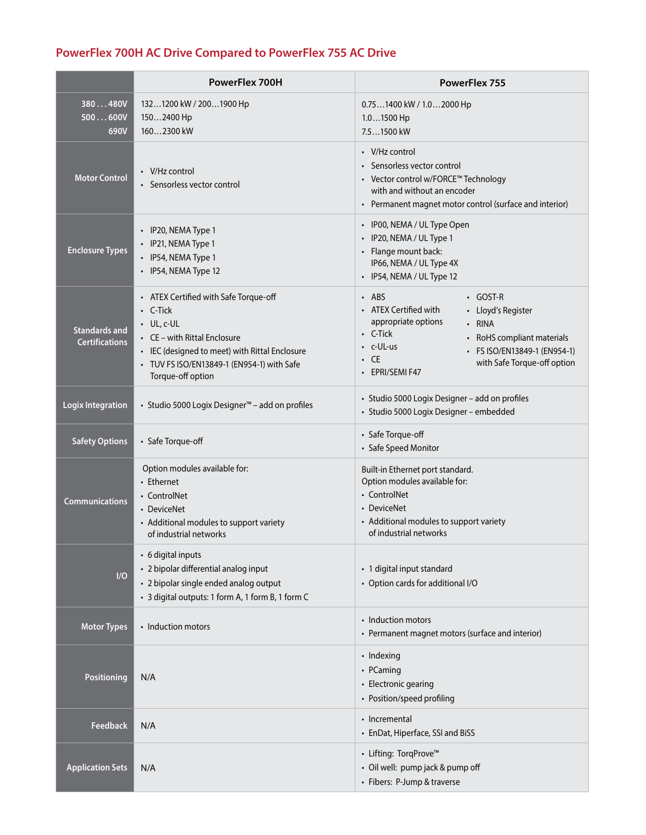# **PowerFlex 700H AC Drive Compared to PowerFlex 755 AC Drive**

|                                               | PowerFlex 700H                                                                                                                                                                                                                   | PowerFlex 755                                                                                                                                                                                                                                                                |
|-----------------------------------------------|----------------------------------------------------------------------------------------------------------------------------------------------------------------------------------------------------------------------------------|------------------------------------------------------------------------------------------------------------------------------------------------------------------------------------------------------------------------------------------------------------------------------|
| 380480V<br>500600V<br>690V                    | 1321200 kW / 2001900 Hp<br>1502400 Hp<br>1602300 kW                                                                                                                                                                              | $0.751400$ kW / $1.02000$ Hp<br>$1.01500$ Hp<br>7.51500 kW                                                                                                                                                                                                                   |
| <b>Motor Control</b>                          | $\cdot$ V/Hz control<br>• Sensorless vector control                                                                                                                                                                              | $\cdot$ V/Hz control<br>• Sensorless vector control<br>• Vector control w/FORCE™ Technology<br>with and without an encoder<br>• Permanent magnet motor control (surface and interior)                                                                                        |
| <b>Enclosure Types</b>                        | • IP20, NEMA Type 1<br>· IP21, NEMA Type 1<br>· IP54, NEMA Type 1<br>· IP54, NEMA Type 12                                                                                                                                        | · IP00, NEMA / UL Type Open<br>• IP20, NEMA / UL Type 1<br>• Flange mount back:<br>IP66, NEMA / UL Type 4X<br>• IP54, NEMA / UL Type 12                                                                                                                                      |
| <b>Standards and</b><br><b>Certifications</b> | • ATEX Certified with Safe Torque-off<br>$\cdot$ C-Tick<br>$\cdot$ UL, c-UL<br>• CE – with Rittal Enclosure<br>• IEC (designed to meet) with Rittal Enclosure<br>• TUV FS ISO/EN13849-1 (EN954-1) with Safe<br>Torque-off option | $·$ ABS<br>$\cdot$ GOST-R<br>• ATEX Certified with<br>• Lloyd's Register<br>appropriate options<br>• RINA<br>$\cdot$ C-Tick<br>• RoHS compliant materials<br>$\cdot$ c-UL-us<br>• FS ISO/EN13849-1 (EN954-1)<br>$\cdot$ CE<br>with Safe Torque-off option<br>• EPRI/SEMI F47 |
| <b>Logix Integration</b>                      | • Studio 5000 Logix Designer <sup>™</sup> - add on profiles                                                                                                                                                                      | · Studio 5000 Logix Designer - add on profiles<br>· Studio 5000 Logix Designer - embedded                                                                                                                                                                                    |
| <b>Safety Options</b>                         | • Safe Torque-off                                                                                                                                                                                                                | • Safe Torque-off<br>• Safe Speed Monitor                                                                                                                                                                                                                                    |
| <b>Communications</b>                         | Option modules available for:<br>• Ethernet<br>• ControlNet<br>• DeviceNet<br>• Additional modules to support variety<br>of industrial networks                                                                                  | Built-in Ethernet port standard.<br>Option modules available for:<br>• ControlNet<br>• DeviceNet<br>• Additional modules to support variety<br>of industrial networks                                                                                                        |
| I/O                                           | • 6 digital inputs<br>• 2 bipolar differential analog input<br>• 2 bipolar single ended analog output<br>· 3 digital outputs: 1 form A, 1 form B, 1 form C                                                                       | • 1 digital input standard<br>• Option cards for additional I/O                                                                                                                                                                                                              |
| <b>Motor Types</b>                            | • Induction motors                                                                                                                                                                                                               | • Induction motors<br>• Permanent magnet motors (surface and interior)                                                                                                                                                                                                       |
| Positioning                                   | N/A                                                                                                                                                                                                                              | • Indexing<br>• PCaming<br>• Electronic gearing<br>• Position/speed profiling                                                                                                                                                                                                |
| <b>Feedback</b>                               | N/A                                                                                                                                                                                                                              | • Incremental<br>• EnDat, Hiperface, SSI and BiSS                                                                                                                                                                                                                            |
| <b>Application Sets</b>                       | N/A                                                                                                                                                                                                                              | • Lifting: TorqProve™<br>• Oil well: pump jack & pump off<br>• Fibers: P-Jump & traverse                                                                                                                                                                                     |